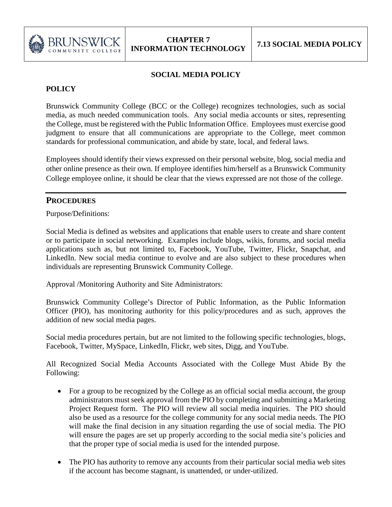

## **SOCIAL MEDIA POLICY**

## **POLICY**

Brunswick Community College (BCC or the College) recognizes technologies, such as social media, as much needed communication tools. Any social media accounts or sites, representing the College, must be registered with the Public Information Office. Employees must exercise good judgment to ensure that all communications are appropriate to the College, meet common standards for professional communication, and abide by state, local, and federal laws.

Employees should identify their views expressed on their personal website, blog, social media and other online presence as their own. If employee identifies him/herself as a Brunswick Community College employee online, it should be clear that the views expressed are not those of the college.

## **PROCEDURES**

Purpose/Definitions:

Social Media is defined as websites and applications that enable users to create and share content or to participate in social networking. Examples include blogs, wikis, forums, and social media applications such as, but not limited to, Facebook, YouTube, Twitter, Flickr, Snapchat, and LinkedIn. New social media continue to evolve and are also subject to these procedures when individuals are representing Brunswick Community College.

Approval /Monitoring Authority and Site Administrators:

Brunswick Community College's Director of Public Information, as the Public Information Officer (PIO), has monitoring authority for this policy/procedures and as such, approves the addition of new social media pages.

Social media procedures pertain, but are not limited to the following specific technologies, blogs, Facebook, Twitter, MySpace, LinkedIn, Flickr, web sites, Digg, and YouTube.

All Recognized Social Media Accounts Associated with the College Must Abide By the Following:

- For a group to be recognized by the College as an official social media account, the group administrators must seek approval from the PIO by completing and submitting a Marketing Project Request form. The PIO will review all social media inquiries. The PIO should also be used as a resource for the college community for any social media needs. The PIO will make the final decision in any situation regarding the use of social media. The PIO will ensure the pages are set up properly according to the social media site's policies and that the proper type of social media is used for the intended purpose.
- The PIO has authority to remove any accounts from their particular social media web sites if the account has become stagnant, is unattended, or under-utilized.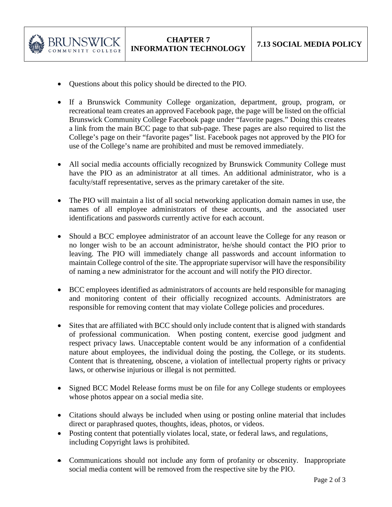

- Questions about this policy should be directed to the PIO.
- If a Brunswick Community College organization, department, group, program, or recreational team creates an approved Facebook page, the page will be listed on the official Brunswick Community College Facebook page under "favorite pages." Doing this creates a link from the main BCC page to that sub-page. These pages are also required to list the College's page on their "favorite pages" list. Facebook pages not approved by the PIO for use of the College's name are prohibited and must be removed immediately.
- All social media accounts officially recognized by Brunswick Community College must have the PIO as an administrator at all times. An additional administrator, who is a faculty/staff representative, serves as the primary caretaker of the site.
- The PIO will maintain a list of all social networking application domain names in use, the names of all employee administrators of these accounts, and the associated user identifications and passwords currently active for each account.
- Should a BCC employee administrator of an account leave the College for any reason or no longer wish to be an account administrator, he/she should contact the PIO prior to leaving. The PIO will immediately change all passwords and account information to maintain College control of the site. The appropriate supervisor will have the responsibility of naming a new administrator for the account and will notify the PIO director.
- BCC employees identified as administrators of accounts are held responsible for managing and monitoring content of their officially recognized accounts. Administrators are responsible for removing content that may violate College policies and procedures.
- Sites that are affiliated with BCC should only include content that is aligned with standards of professional communication. When posting content, exercise good judgment and respect privacy laws. Unacceptable content would be any information of a confidential nature about employees, the individual doing the posting, the College, or its students. Content that is threatening, obscene, a violation of intellectual property rights or privacy laws, or otherwise injurious or illegal is not permitted.
- Signed BCC Model Release forms must be on file for any College students or employees whose photos appear on a social media site.
- Citations should always be included when using or posting online material that includes direct or paraphrased quotes, thoughts, ideas, photos, or videos.
- Posting content that potentially violates local, state, or federal laws, and regulations, including Copyright laws is prohibited.
- Communications should not include any form of profanity or obscenity. Inappropriate social media content will be removed from the respective site by the PIO.